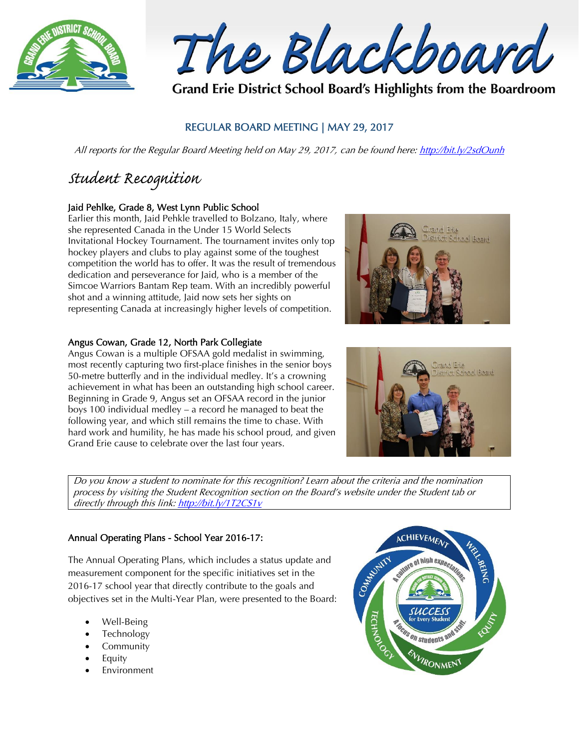

The Blackboard

Grand Erie District School Board's Highlights from the Boardroom

## REGULAR BOARD MEETING | MAY 29, 2017

All reports for the Regular Board Meeting held on May 29, 2017, can be found here:<http://bit.ly/2sdOunh>

# *Student Recognition*

## Jaid Pehlke, Grade 8, West Lynn Public School

Earlier this month, Jaid Pehkle travelled to Bolzano, Italy, where she represented Canada in the Under 15 World Selects Invitational Hockey Tournament. The tournament invites only top hockey players and clubs to play against some of the toughest competition the world has to offer. It was the result of tremendous dedication and perseverance for Jaid, who is a member of the Simcoe Warriors Bantam Rep team. With an incredibly powerful shot and a winning attitude, Jaid now sets her sights on representing Canada at increasingly higher levels of competition.

## Angus Cowan, Grade 12, North Park Collegiate

Angus Cowan is a multiple OFSAA gold medalist in swimming, most recently capturing two first-place finishes in the senior boys 50-metre butterfly and in the individual medley. It's a crowning achievement in what has been an outstanding high school career. Beginning in Grade 9, Angus set an OFSAA record in the junior boys 100 individual medley – a record he managed to beat the following year, and which still remains the time to chase. With hard work and humility, he has made his school proud, and given Grand Erie cause to celebrate over the last four years.





Do you know a student to nominate for this recognition? Learn about the criteria and the nomination process by visiting the Student Recognition section on the Board's website under the Student tab or directly through this link[: http://bit.ly/1T2CS1v](http://bit.ly/1T2CS1v)

## Annual Operating Plans - School Year 2016-17:

The Annual Operating Plans, which includes a status update and measurement component for the specific initiatives set in the 2016-17 school year that directly contribute to the goals and objectives set in the Multi-Year Plan, were presented to the Board:

- Well-Being
- Technology
- Community
- Equity
- Environment

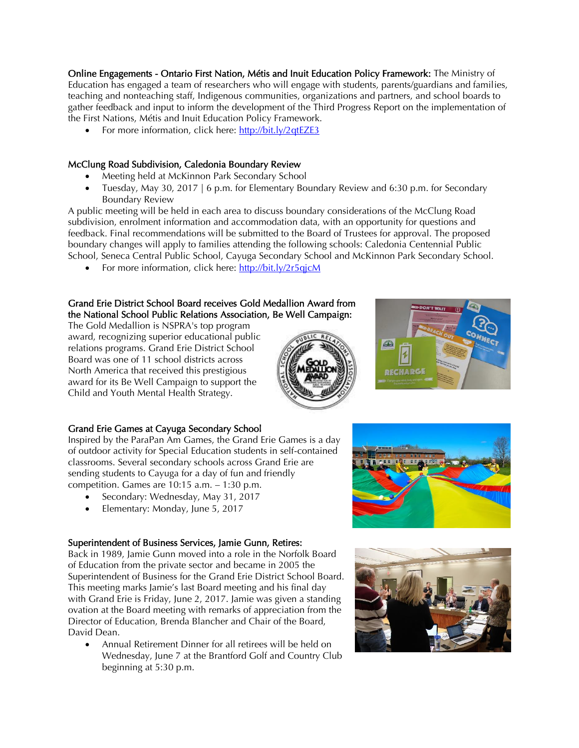Online Engagements - Ontario First Nation, Métis and Inuit Education Policy Framework: The Ministry of Education has engaged a team of researchers who will engage with students, parents/guardians and families, teaching and nonteaching staff, Indigenous communities, organizations and partners, and school boards to gather feedback and input to inform the development of the Third Progress Report on the implementation of the First Nations, Métis and Inuit Education Policy Framework.

• For more information, click here:  $\frac{http://bit.ly/2qtEZE3}{http://bit.ly/2qtEZE3}$ 

## McClung Road Subdivision, Caledonia Boundary Review

- Meeting held at McKinnon Park Secondary School
- Tuesday, May 30, 2017 | 6 p.m. for Elementary Boundary Review and 6:30 p.m. for Secondary Boundary Review

A public meeting will be held in each area to discuss boundary considerations of the McClung Road subdivision, enrolment information and accommodation data, with an opportunity for questions and feedback. Final recommendations will be submitted to the Board of Trustees for approval. The proposed boundary changes will apply to families attending the following schools: Caledonia Centennial Public School, Seneca Central Public School, Cayuga Secondary School and McKinnon Park Secondary School.

For more information, click here:<http://bit.ly/2r5qjcM>

## Grand Erie District School Board receives Gold Medallion Award from the National School Public Relations Association, Be Well Campaign:

The Gold Medallion is NSPRA's top program award, recognizing superior educational public relations programs. Grand Erie District School Board was one of 11 school districts across North America that received this prestigious award for its Be Well Campaign to support the Child and Youth Mental Health Strategy.





#### Grand Erie Games at Cayuga Secondary School

Inspired by the ParaPan Am Games, the Grand Erie Games is a day of outdoor activity for Special Education students in self-contained classrooms. Several secondary schools across Grand Erie are sending students to Cayuga for a day of fun and friendly competition. Games are 10:15 a.m. – 1:30 p.m.

- Secondary: Wednesday, May 31, 2017
- Elementary: Monday, June 5, 2017

#### Superintendent of Business Services, Jamie Gunn, Retires:

Back in 1989, Jamie Gunn moved into a role in the Norfolk Board of Education from the private sector and became in 2005 the Superintendent of Business for the Grand Erie District School Board. This meeting marks Jamie's last Board meeting and his final day with Grand Erie is Friday, June 2, 2017. Jamie was given a standing ovation at the Board meeting with remarks of appreciation from the Director of Education, Brenda Blancher and Chair of the Board, David Dean.

 Annual Retirement Dinner for all retirees will be held on Wednesday, June 7 at the Brantford Golf and Country Club beginning at 5:30 p.m.